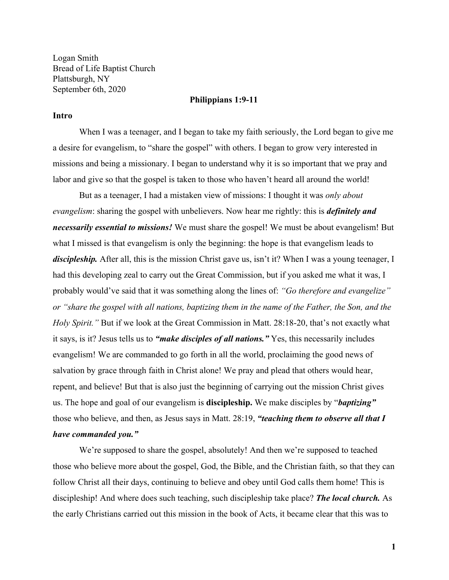Logan Smith Bread of Life Baptist Church Plattsburgh, NY September 6th, 2020

#### **Philippians 1:9-11**

## **Intro**

When I was a teenager, and I began to take my faith seriously, the Lord began to give me a desire for evangelism, to "share the gospel" with others. I began to grow very interested in missions and being a missionary. I began to understand why it is so important that we pray and labor and give so that the gospel is taken to those who haven't heard all around the world!

But as a teenager, I had a mistaken view of missions: I thought it was *only about evangelism*: sharing the gospel with unbelievers. Now hear me rightly: this is *definitely and necessarily essential to missions!* We must share the gospel! We must be about evangelism! But what I missed is that evangelism is only the beginning: the hope is that evangelism leads to *discipleship.* After all, this is the mission Christ gave us, isn't it? When I was a young teenager, I had this developing zeal to carry out the Great Commission, but if you asked me what it was, I probably would've said that it was something along the lines of: *"Go therefore and evangelize" or "share the gospel with all nations, baptizing them in the name of the Father, the Son, and the Holy Spirit."* But if we look at the Great Commission in Matt. 28:18-20, that's not exactly what it says, is it? Jesus tells us to *"make disciples of all nations."* Yes, this necessarily includes evangelism! We are commanded to go forth in all the world, proclaiming the good news of salvation by grace through faith in Christ alone! We pray and plead that others would hear, repent, and believe! But that is also just the beginning of carrying out the mission Christ gives us. The hope and goal of our evangelism is **discipleship.** We make disciples by "*baptizing"* those who believe, and then, as Jesus says in Matt. 28:19, *"teaching them to observe all that I have commanded you."*

We're supposed to share the gospel, absolutely! And then we're supposed to teached those who believe more about the gospel, God, the Bible, and the Christian faith, so that they can follow Christ all their days, continuing to believe and obey until God calls them home! This is discipleship! And where does such teaching, such discipleship take place? *The local church.* As the early Christians carried out this mission in the book of Acts, it became clear that this was to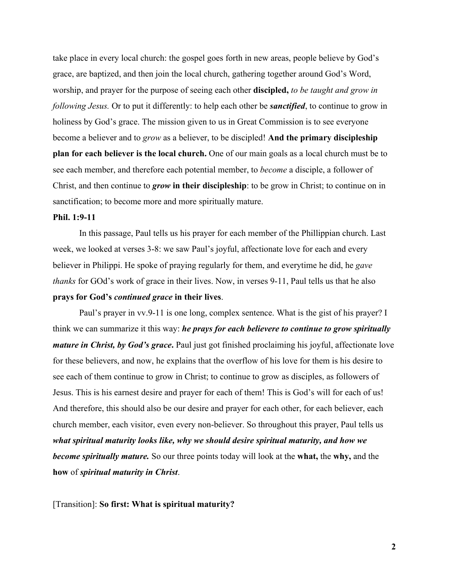take place in every local church: the gospel goes forth in new areas, people believe by God's grace, are baptized, and then join the local church, gathering together around God's Word, worship, and prayer for the purpose of seeing each other **discipled,** *to be taught and grow in following Jesus.* Or to put it differently: to help each other be *sanctified*, to continue to grow in holiness by God's grace. The mission given to us in Great Commission is to see everyone become a believer and to *grow* as a believer, to be discipled! **And the primary discipleship plan for each believer is the local church.** One of our main goals as a local church must be to see each member, and therefore each potential member, to *become* a disciple, a follower of Christ, and then continue to *grow* **in their discipleship**: to be grow in Christ; to continue on in sanctification; to become more and more spiritually mature.

# **Phil. 1:9-11**

In this passage, Paul tells us his prayer for each member of the Phillippian church. Last week, we looked at verses 3-8: we saw Paul's joyful, affectionate love for each and every believer in Philippi. He spoke of praying regularly for them, and everytime he did, he *gave thanks* for GOd's work of grace in their lives. Now, in verses 9-11, Paul tells us that he also **prays for God's** *continued grace* **in their lives**.

Paul's prayer in vv.9-11 is one long, complex sentence. What is the gist of his prayer? I think we can summarize it this way: *he prays for each believere to continue to grow spiritually mature in Christ, by God's grace*. Paul just got finished proclaiming his joyful, affectionate love for these believers, and now, he explains that the overflow of his love for them is his desire to see each of them continue to grow in Christ; to continue to grow as disciples, as followers of Jesus. This is his earnest desire and prayer for each of them! This is God's will for each of us! And therefore, this should also be our desire and prayer for each other, for each believer, each church member, each visitor, even every non-believer. So throughout this prayer, Paul tells us *what spiritual maturity looks like, why we should desire spiritual maturity, and how we become spiritually mature.* So our three points today will look at the **what,** the **why,** and the **how** of *spiritual maturity in Christ*.

[Transition]: **So first: What is spiritual maturity?**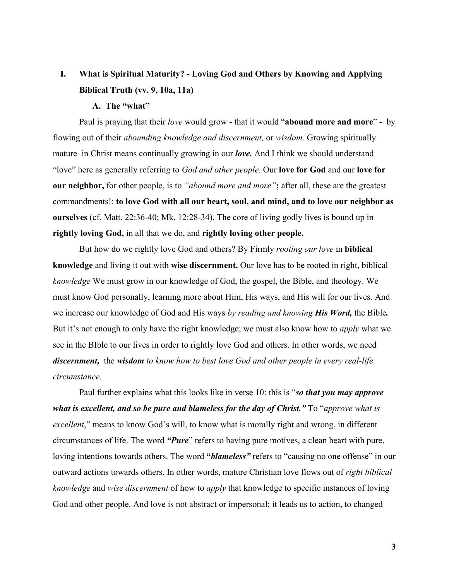# **I. What is Spiritual Maturity? - Loving God and Others by Knowing and Applying Biblical Truth (vv. 9, 10a, 11a)**

# **A. The "what"**

Paul is praying that their *love* would grow - that it would "**abound more and more**" - by flowing out of their *abounding knowledge and discernment,* or *wisdom.* Growing spiritually mature in Christ means continually growing in our *love.* And I think we should understand "love" here as generally referring to *God and other people.* Our **love for God** and our **love for our neighbor,** for other people, is to *"abound more and more"***;** after all, these are the greatest commandments!: **to love God with all our heart, soul, and mind, and to love our neighbor as ourselves** (cf. Matt. 22:36-40; Mk. 12:28-34). The core of living godly lives is bound up in **rightly loving God,** in all that we do, and **rightly loving other people.**

But how do we rightly love God and others? By Firmly *rooting our love* in **biblical knowledge** and living it out with **wise discernment.** Our love has to be rooted in right, biblical *knowledge* We must grow in our knowledge of God, the gospel, the Bible, and theology. We must know God personally, learning more about Him, His ways, and His will for our lives. And we increase our knowledge of God and His ways *by reading and knowing His Word,* the Bible*.* But it's not enough to only have the right knowledge; we must also know how to *apply* what we see in the BIble to our lives in order to rightly love God and others. In other words, we need *discernment,* the *wisdom to know how to best love God and other people in every real-life circumstance.*

Paul further explains what this looks like in verse 10: this is "*so that you may approve what is excellent, and so be pure and blameless for the day of Christ."* To "*approve what is excellent*," means to know God's will, to know what is morally right and wrong, in different circumstances of life. The word *"Pure*" refers to having pure motives, a clean heart with pure, loving intentions towards others. The word **"***blameless"* refers to "causing no one offense" in our outward actions towards others. In other words, mature Christian love flows out of *right biblical knowledge* and *wise discernment* of how to *apply* that knowledge to specific instances of loving God and other people. And love is not abstract or impersonal; it leads us to action, to changed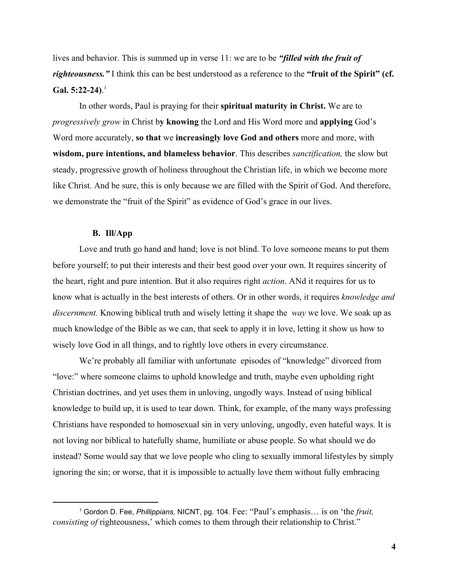lives and behavior. This is summed up in verse 11: we are to be *"filled with the fruit of righteousness."* I think this can be best understood as a reference to the **"fruit of the Spirit" (cf. Gal. 5:22-24)**. 1

In other words, Paul is praying for their **spiritual maturity in Christ.** We are to *progressively grow* in Christ b**y knowing** the Lord and His Word more and **applying** God's Word more accurately, **so that** we **increasingly love God and others** more and more, with **wisdom, pure intentions, and blameless behavior**. This describes *sanctification,* the slow but steady, progressive growth of holiness throughout the Christian life, in which we become more like Christ. And be sure, this is only because we are filled with the Spirit of God. And therefore, we demonstrate the "fruit of the Spirit" as evidence of God's grace in our lives.

## **B. Ill/App**

Love and truth go hand and hand; love is not blind. To love someone means to put them before yourself; to put their interests and their best good over your own. It requires sincerity of the heart, right and pure intention. But it also requires right *action*. ANd it requires for us to know what is actually in the best interests of others. Or in other words, it requires *knowledge and discernment.* Knowing biblical truth and wisely letting it shape the *way* we love. We soak up as much knowledge of the Bible as we can, that seek to apply it in love, letting it show us how to wisely love God in all things, and to rightly love others in every circumstance.

We're probably all familiar with unfortunate episodes of "knowledge" divorced from "love:" where someone claims to uphold knowledge and truth, maybe even upholding right Christian doctrines, and yet uses them in unloving, ungodly ways. Instead of using biblical knowledge to build up, it is used to tear down. Think, for example, of the many ways professing Christians have responded to homosexual sin in very unloving, ungodly, even hateful ways. It is not loving nor biblical to hatefully shame, humiliate or abuse people. So what should we do instead? Some would say that we love people who cling to sexually immoral lifestyles by simply ignoring the sin; or worse, that it is impossible to actually love them without fully embracing

<sup>1</sup> Gordon D. Fee, *Phillippians,* NICNT, pg. 104. Fee: "Paul's emphasis… is on 'the *fruit, consisting of righteousness,'* which comes to them through their relationship to Christ."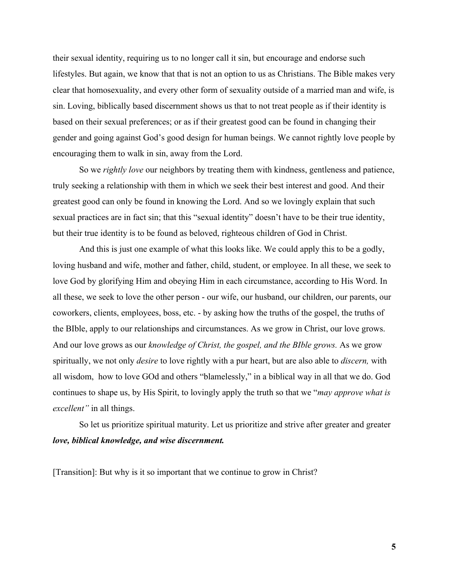their sexual identity, requiring us to no longer call it sin, but encourage and endorse such lifestyles. But again, we know that that is not an option to us as Christians. The Bible makes very clear that homosexuality, and every other form of sexuality outside of a married man and wife, is sin. Loving, biblically based discernment shows us that to not treat people as if their identity is based on their sexual preferences; or as if their greatest good can be found in changing their gender and going against God's good design for human beings. We cannot rightly love people by encouraging them to walk in sin, away from the Lord.

So we *rightly love* our neighbors by treating them with kindness, gentleness and patience, truly seeking a relationship with them in which we seek their best interest and good. And their greatest good can only be found in knowing the Lord. And so we lovingly explain that such sexual practices are in fact sin; that this "sexual identity" doesn't have to be their true identity, but their true identity is to be found as beloved, righteous children of God in Christ.

And this is just one example of what this looks like. We could apply this to be a godly, loving husband and wife, mother and father, child, student, or employee. In all these, we seek to love God by glorifying Him and obeying Him in each circumstance, according to His Word. In all these, we seek to love the other person - our wife, our husband, our children, our parents, our coworkers, clients, employees, boss, etc. - by asking how the truths of the gospel, the truths of the BIble, apply to our relationships and circumstances. As we grow in Christ, our love grows. And our love grows as our *knowledge of Christ, the gospel, and the BIble grows.* As we grow spiritually, we not only *desire* to love rightly with a pur heart, but are also able to *discern,* with all wisdom, how to love GOd and others "blamelessly," in a biblical way in all that we do. God continues to shape us, by His Spirit, to lovingly apply the truth so that we "*may approve what is excellent"* in all things.

So let us prioritize spiritual maturity. Let us prioritize and strive after greater and greater *love, biblical knowledge, and wise discernment.*

[Transition]: But why is it so important that we continue to grow in Christ?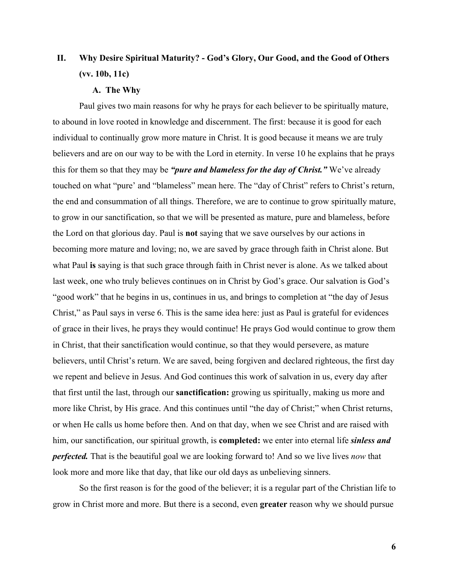# **II. Why Desire Spiritual Maturity? - God's Glory, Our Good, and the Good of Others (vv. 10b, 11c)**

# **A. The Why**

Paul gives two main reasons for why he prays for each believer to be spiritually mature, to abound in love rooted in knowledge and discernment. The first: because it is good for each individual to continually grow more mature in Christ. It is good because it means we are truly believers and are on our way to be with the Lord in eternity. In verse 10 he explains that he prays this for them so that they may be *"pure and blameless for the day of Christ."* We've already touched on what "pure' and "blameless" mean here. The "day of Christ" refers to Christ's return, the end and consummation of all things. Therefore, we are to continue to grow spiritually mature, to grow in our sanctification, so that we will be presented as mature, pure and blameless, before the Lord on that glorious day. Paul is **not** saying that we save ourselves by our actions in becoming more mature and loving; no, we are saved by grace through faith in Christ alone. But what Paul **is** saying is that such grace through faith in Christ never is alone. As we talked about last week, one who truly believes continues on in Christ by God's grace. Our salvation is God's "good work" that he begins in us, continues in us, and brings to completion at "the day of Jesus Christ," as Paul says in verse 6. This is the same idea here: just as Paul is grateful for evidences of grace in their lives, he prays they would continue! He prays God would continue to grow them in Christ, that their sanctification would continue, so that they would persevere, as mature believers, until Christ's return. We are saved, being forgiven and declared righteous, the first day we repent and believe in Jesus. And God continues this work of salvation in us, every day after that first until the last, through our **sanctification:** growing us spiritually, making us more and more like Christ, by His grace. And this continues until "the day of Christ;" when Christ returns, or when He calls us home before then. And on that day, when we see Christ and are raised with him, our sanctification, our spiritual growth, is **completed:** we enter into eternal life *sinless and perfected.* That is the beautiful goal we are looking forward to! And so we live lives *now* that look more and more like that day, that like our old days as unbelieving sinners.

So the first reason is for the good of the believer; it is a regular part of the Christian life to grow in Christ more and more. But there is a second, even **greater** reason why we should pursue

**6**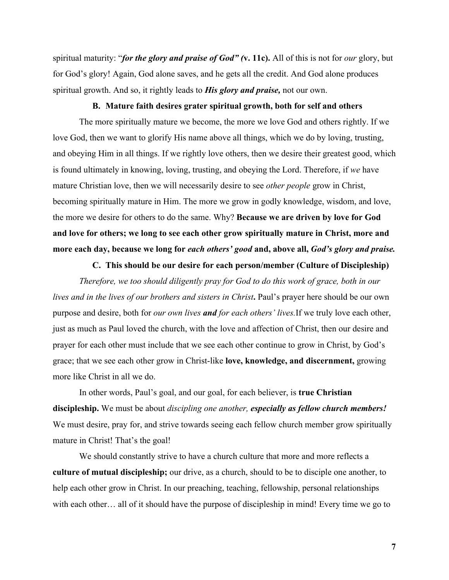spiritual maturity: "*for the glory and praise of God" (***v. 11c).** All of this is not for *our* glory, but for God's glory! Again, God alone saves, and he gets all the credit. And God alone produces spiritual growth. And so, it rightly leads to *His glory and praise,* not our own.

#### **B. Mature faith desires grater spiritual growth, both for self and others**

The more spiritually mature we become, the more we love God and others rightly. If we love God, then we want to glorify His name above all things, which we do by loving, trusting, and obeying Him in all things. If we rightly love others, then we desire their greatest good, which is found ultimately in knowing, loving, trusting, and obeying the Lord. Therefore, if *we* have mature Christian love, then we will necessarily desire to see *other people* grow in Christ, becoming spiritually mature in Him. The more we grow in godly knowledge, wisdom, and love, the more we desire for others to do the same. Why? **Because we are driven by love for God and love for others; we long to see each other grow spiritually mature in Christ, more and more each day, because we long for** *each others' good* **and, above all,** *God's glory and praise.*

## **C. This should be our desire for each person/member (Culture of Discipleship)**

*Therefore, we too should diligently pray for God to do this work of grace, both in our lives and in the lives of our brothers and sisters in Christ***.** Paul's prayer here should be our own purpose and desire, both for *our own lives and for each others' lives.*If we truly love each other, just as much as Paul loved the church, with the love and affection of Christ, then our desire and prayer for each other must include that we see each other continue to grow in Christ, by God's grace; that we see each other grow in Christ-like **love, knowledge, and discernment,** growing more like Christ in all we do.

In other words, Paul's goal, and our goal, for each believer, is **true Christian discipleship.** We must be about *discipling one another, especially as fellow church members!* We must desire, pray for, and strive towards seeing each fellow church member grow spiritually mature in Christ! That's the goal!

We should constantly strive to have a church culture that more and more reflects a **culture of mutual discipleship;** our drive, as a church, should to be to disciple one another, to help each other grow in Christ. In our preaching, teaching, fellowship, personal relationships with each other… all of it should have the purpose of discipleship in mind! Every time we go to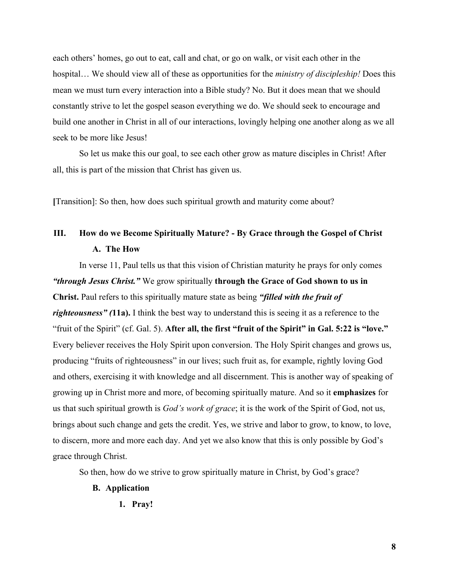each others' homes, go out to eat, call and chat, or go on walk, or visit each other in the hospital… We should view all of these as opportunities for the *ministry of discipleship!* Does this mean we must turn every interaction into a Bible study? No. But it does mean that we should constantly strive to let the gospel season everything we do. We should seek to encourage and build one another in Christ in all of our interactions, lovingly helping one another along as we all seek to be more like Jesus!

So let us make this our goal, to see each other grow as mature disciples in Christ! After all, this is part of the mission that Christ has given us.

**[**Transition]: So then, how does such spiritual growth and maturity come about?

# **III. How do we Become Spiritually Mature? - By Grace through the Gospel of Christ A. The How**

In verse 11, Paul tells us that this vision of Christian maturity he prays for only comes *"through Jesus Christ."* We grow spiritually **through the Grace of God shown to us in Christ.** Paul refers to this spiritually mature state as being *"filled with the fruit of righteousness" (***11a).** I think the best way to understand this is seeing it as a reference to the "fruit of the Spirit" (cf. Gal. 5). **After all, the first "fruit of the Spirit" in Gal. 5:22 is "love."** Every believer receives the Holy Spirit upon conversion. The Holy Spirit changes and grows us, producing "fruits of righteousness" in our lives; such fruit as, for example, rightly loving God and others, exercising it with knowledge and all discernment. This is another way of speaking of growing up in Christ more and more, of becoming spiritually mature. And so it **emphasizes** for us that such spiritual growth is *God's work of grace*; it is the work of the Spirit of God, not us, brings about such change and gets the credit. Yes, we strive and labor to grow, to know, to love, to discern, more and more each day. And yet we also know that this is only possible by God's grace through Christ.

So then, how do we strive to grow spiritually mature in Christ, by God's grace?

## **B. Application**

**1. Pray!**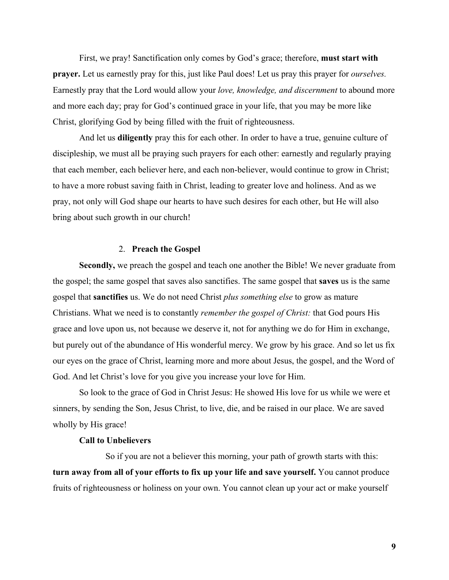First, we pray! Sanctification only comes by God's grace; therefore, **must start with prayer.** Let us earnestly pray for this, just like Paul does! Let us pray this prayer for *ourselves.* Earnestly pray that the Lord would allow your *love, knowledge, and discernment* to abound more and more each day; pray for God's continued grace in your life, that you may be more like Christ, glorifying God by being filled with the fruit of righteousness.

And let us **diligently** pray this for each other. In order to have a true, genuine culture of discipleship, we must all be praying such prayers for each other: earnestly and regularly praying that each member, each believer here, and each non-believer, would continue to grow in Christ; to have a more robust saving faith in Christ, leading to greater love and holiness. And as we pray, not only will God shape our hearts to have such desires for each other, but He will also bring about such growth in our church!

### 2. **Preach the Gospel**

**Secondly,** we preach the gospel and teach one another the Bible! We never graduate from the gospel; the same gospel that saves also sanctifies. The same gospel that **saves** us is the same gospel that **sanctifies** us. We do not need Christ *plus something else* to grow as mature Christians. What we need is to constantly *remember the gospel of Christ:* that God pours His grace and love upon us, not because we deserve it, not for anything we do for Him in exchange, but purely out of the abundance of His wonderful mercy. We grow by his grace. And so let us fix our eyes on the grace of Christ, learning more and more about Jesus, the gospel, and the Word of God. And let Christ's love for you give you increase your love for Him.

So look to the grace of God in Christ Jesus: He showed His love for us while we were et sinners, by sending the Son, Jesus Christ, to live, die, and be raised in our place. We are saved wholly by His grace!

## **Call to Unbelievers**

So if you are not a believer this morning, your path of growth starts with this: **turn away from all of your efforts to fix up your life and save yourself.** You cannot produce fruits of righteousness or holiness on your own. You cannot clean up your act or make yourself